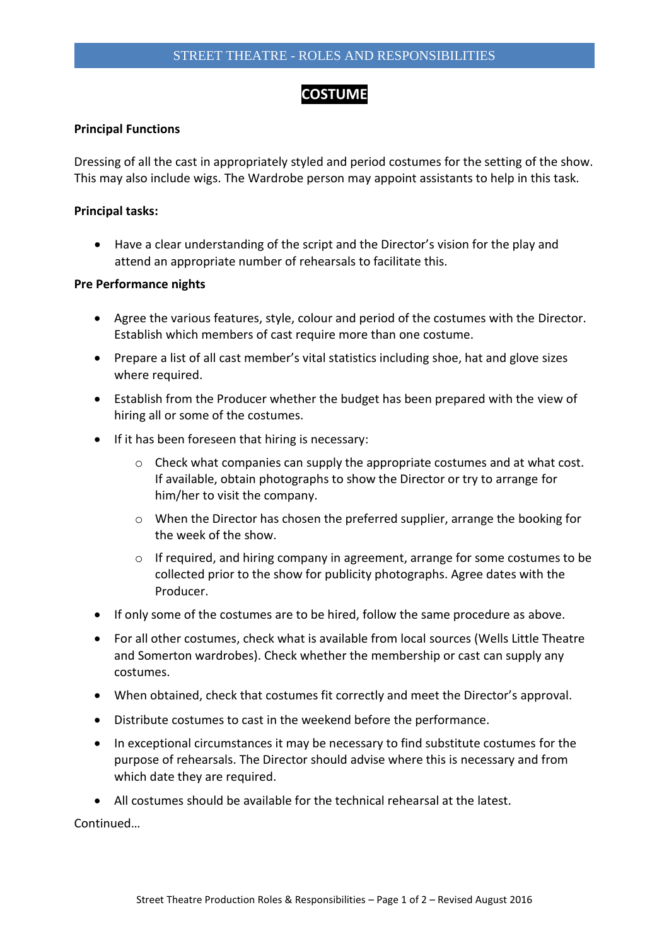# **COSTUME**

# **Principal Functions**

Dressing of all the cast in appropriately styled and period costumes for the setting of the show. This may also include wigs. The Wardrobe person may appoint assistants to help in this task.

# **Principal tasks:**

 Have a clear understanding of the script and the Director's vision for the play and attend an appropriate number of rehearsals to facilitate this.

#### **Pre Performance nights**

- Agree the various features, style, colour and period of the costumes with the Director. Establish which members of cast require more than one costume.
- Prepare a list of all cast member's vital statistics including shoe, hat and glove sizes where required.
- Establish from the Producer whether the budget has been prepared with the view of hiring all or some of the costumes.
- If it has been foreseen that hiring is necessary:
	- $\circ$  Check what companies can supply the appropriate costumes and at what cost. If available, obtain photographs to show the Director or try to arrange for him/her to visit the company.
	- $\circ$  When the Director has chosen the preferred supplier, arrange the booking for the week of the show.
	- o If required, and hiring company in agreement, arrange for some costumes to be collected prior to the show for publicity photographs. Agree dates with the Producer.
- If only some of the costumes are to be hired, follow the same procedure as above.
- For all other costumes, check what is available from local sources (Wells Little Theatre and Somerton wardrobes). Check whether the membership or cast can supply any costumes.
- When obtained, check that costumes fit correctly and meet the Director's approval.
- Distribute costumes to cast in the weekend before the performance.
- In exceptional circumstances it may be necessary to find substitute costumes for the purpose of rehearsals. The Director should advise where this is necessary and from which date they are required.
- All costumes should be available for the technical rehearsal at the latest.

Continued…